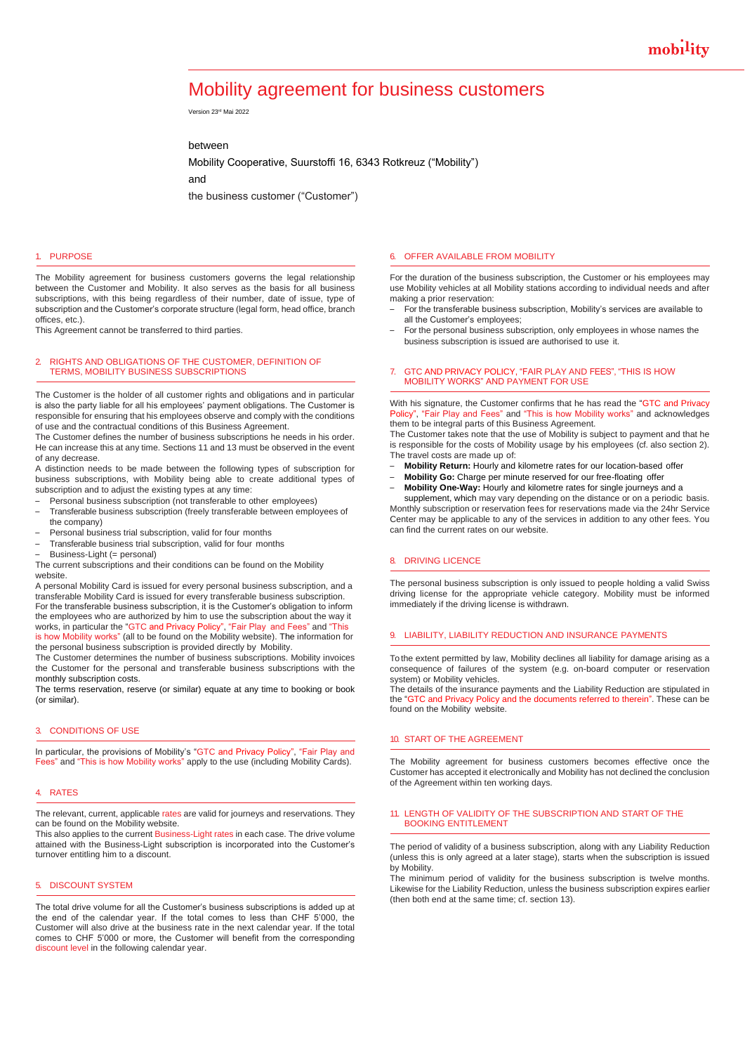# Mobility agreement for business customers

Version 23rd Mai 2022

between

Mobility Cooperative, Suurstoffi 16, 6343 Rotkreuz ("Mobility")

and

the business customer ("Customer")

## 1. PURPOSE

The Mobility agreement for business customers governs the legal relationship between the Customer and Mobility. It also serves as the basis for all business subscriptions, with this being regardless of their number, date of issue, type of subscription and the Customer's corporate structure (legal form, head office, branch offices, etc.).

This Agreement cannot be transferred to third parties.

### 2. RIGHTS AND OBLIGATIONS OF THE CUSTOMER, DEFINITION OF TERMS, MOBILITY BUSINESS SUBSCRIPTIONS

The Customer is the holder of all customer rights and obligations and in particular is also the party liable for all his employees' payment obligations. The Customer is responsible for ensuring that his employees observe and comply with the conditions of use and the contractual conditions of this Business Agreement.

The Customer defines the number of business subscriptions he needs in his order. He can increase this at any time. Sections 11 and 13 must be observed in the event of any decrease.

A distinction needs to be made between the following types of subscription for business subscriptions, with Mobility being able to create additional types of subscription and to adjust the existing types at any time:

- Personal business subscription (not transferable to other employees)
- Transferable business subscription (freely transferable between employees of the company)
- Personal business trial subscription, valid for four months
- Transferable business trial subscription, valid for four months
- Business-Light (= personal)

The current subscriptions and their conditions can be found on the Mobility website.

A personal Mobility Card is issued for every personal business subscription, and a transferable Mobility Card is issued for every transferable business subscription. For the transferable business subscription, it is the Customer's obligation to inform the employees who are authorized by him to use the subscription about the way it works, in particular the "GTC and Privacy Policy", "Fair Play and Fees" and "This is how Mobility works" (all to be found on the Mobility website). The information for the personal business subscription is provided directly by Mobility.

The Customer determines the number of business subscriptions. Mobility invoices the Customer for the personal and transferable business subscriptions with the monthly subscription costs.

The terms reservation, reserve (or similar) equate at any time to booking or book (or similar).

# 3. CONDITIONS OF USE

In particular, the provisions of Mobility's "GTC and Privacy Policy", "Fair Play and Fees" and "This is how Mobility works" apply to the use (including Mobility Cards).

#### 4. RATES

The relevant, current, applicable rates are valid for journeys and reservations. They can be found on the Mobility website.

This also applies to the current Business-Light rates in each case. The drive volume attained with the Business-Light subscription is incorporated into the Customer's turnover entitling him to a discount.

# 5. DISCOUNT SYSTEM

The total drive volume for all the Customer's business subscriptions is added up at the end of the calendar year. If the total comes to less than CHF 5'000, the Customer will also drive at the business rate in the next calendar year. If the total comes to CHF 5'000 or more, the Customer will benefit from the corresponding discount level in the following calendar year.

#### 6. OFFER AVAILABLE FROM MOBILITY

For the duration of the business subscription, the Customer or his employees may use Mobility vehicles at all Mobility stations according to individual needs and after making a prior reservation:

- For the transferable business subscription, Mobility's services are available to all the Customer's employees;
- For the personal business subscription, only employees in whose names the business subscription is issued are authorised to use it.

### 7. GTC AND PRIVACY POLICY, "FAIR PLAY AND FEES", "THIS IS HOW MOBILITY WORKS" AND PAYMENT FOR USE

With his signature, the Customer confirms that he has read the "GTC and Privacy "Fair Play and Fees" and "This is how Mobility works" and acknowledges them to be integral parts of this Business Agreement.

The Customer takes note that the use of Mobility is subject to payment and that he is responsible for the costs of Mobility usage by his employees (cf. also section 2). The travel costs are made up of:

- **Mobility Return:** Hourly and kilometre rates for our location-based offer
- **Mobility Go:** Charge per minute reserved for our free-floating offer
- **Mobility One-Way:** Hourly and kilometre rates for single journeys and a supplement, which may vary depending on the distance or on a periodic basis. Monthly subscription or reservation fees for reservations made via the 24hr Service Center may be applicable to any of the services in addition to any other fees. You can find the current rates on our website.

#### 8. DRIVING LICENCE

The personal business subscription is only issued to people holding a valid Swiss driving license for the appropriate vehicle category. Mobility must be informed immediately if the driving license is withdrawn.

## 9. LIABILITY, LIABILITY REDUCTION AND INSURANCE PAYMENTS

To the extent permitted by law, Mobility declines all liability for damage arising as a consequence of failures of the system (e.g. on-board computer or reservation system) or Mobility vehicles.

The details of the insurance payments and the Liability Reduction are stipulated in the "GTC and Privacy Policy and the documents referred to therein". These can be found on the Mobility website.

## 10. START OF THE AGREEMENT

The Mobility agreement for business customers becomes effective once the Customer has accepted it electronically and Mobility has not declined the conclusion of the Agreement within ten working days.

## 11. LENGTH OF VALIDITY OF THE SUBSCRIPTION AND START OF THE BOOKING ENTITLEMENT

The period of validity of a business subscription, along with any Liability Reduction (unless this is only agreed at a later stage), starts when the subscription is issued by Mobility.

The minimum period of validity for the business subscription is twelve months. Likewise for the Liability Reduction, unless the business subscription expires earlier (then both end at the same time; cf. section 13).